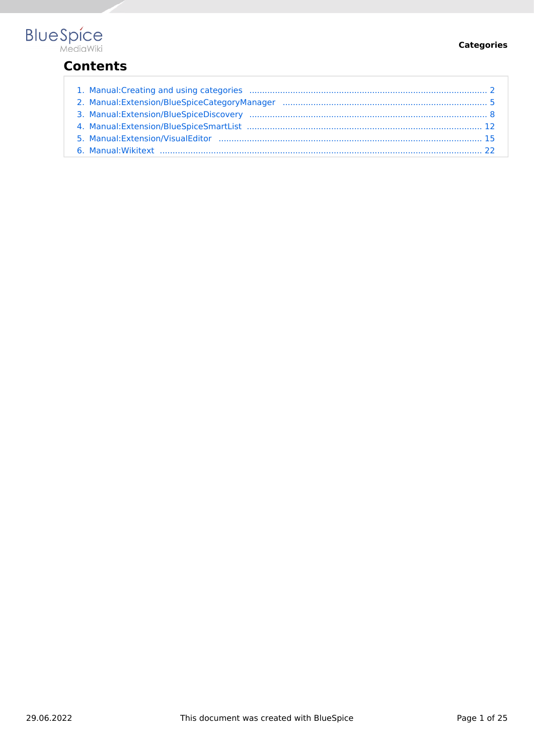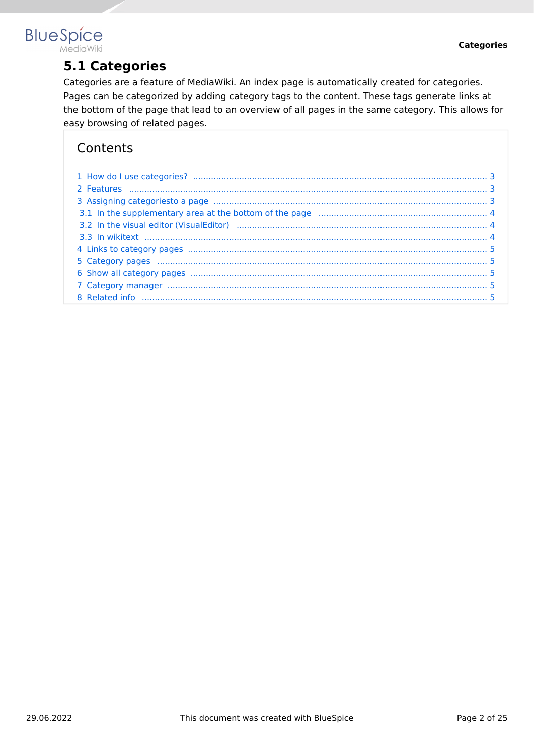## <span id="page-1-0"></span>**BlueSpice** MediaWiki

**5.1 Categories**

Categories are a feature of MediaWiki. An index page is automatically created for categories. Pages can be categorized by adding category tags to the content. These tags generate links at the bottom of the page that lead to an overview of all pages in the same category. This allows for easy browsing of related pages.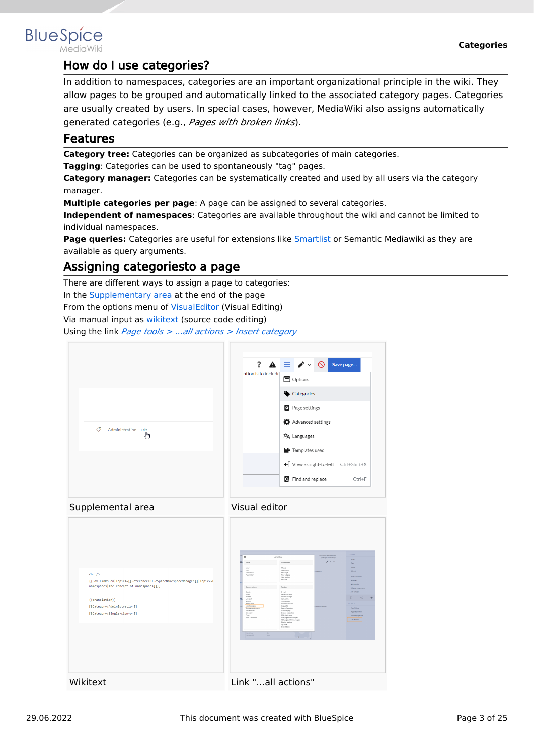

## <span id="page-2-0"></span>How do I use categories?

In addition to namespaces, categories are an important organizational principle in the wiki. They allow pages to be grouped and automatically linked to the associated category pages. Categories are usually created by users. In special cases, however, MediaWiki also assigns automatically generated categories (e.g., *Pages with broken links*).

## <span id="page-2-1"></span>Features

**Category tree:** Categories can be organized as subcategories of main categories.

**Tagging**: Categories can be used to spontaneously "tag" pages.

**Category manager:** Categories can be systematically created and used by all users via the category manager.

**Multiple categories per page**: A page can be assigned to several categories.

**Independent of namespaces**: Categories are available throughout the wiki and cannot be limited to individual namespaces.

**Page queries:** Categories are useful for extensions like [Smartlist](#page-11-0) or Semantic Mediawiki as they are available as query arguments.

## <span id="page-2-2"></span>Assigning categoriesto a page

There are different ways to assign a page to categories:

In the Supplementary area at the end of the page

From the options menu of [VisualEditor](#page-14-0) (Visual Editing)

Via manual input as [wikitext](#page-21-0) (source code editing)

Using the link *Page tools > ...all actions > Insert category*





| $\text{ch}$ /><br>{{Box Links-en Topic1=[[Reference:BlueSpiceNamespaceManager]] Topic2=h<br>namespaces The concept of namespaces [1]}}<br>{{Translation}}<br>[[Category:Administration]]<br>[[Category:Single-sign-on]] | $\times$<br>All actions<br>Namespaces<br>Views<br>View<br>Matual<br>Edit<br>Discussion<br>Editsource<br>Newpage<br>Page Matory<br>Newsubower<br>Newsection<br>Newfile<br>Toylor.<br>Content actions<br>EMail<br>Delete<br>Mon<br>Wattinishere<br>Protect<br><b>Related changes</b><br>Unwatch<br>Upload file<br>Refresh<br>Special coates<br>Add to book<br>Printsblevenice<br>Intert category<br>Copy LR1<br>Page information<br>Set page applicaments<br>Set reminder<br>Cost this page<br>Set expiry<br>Drawne properties<br>Copy<br>PDF single page<br>Stert a workflow<br>PDF poet with subpages<br>PDF poet with linked pages<br>Display readers<br>QR code<br>Export book<br><b>International</b><br>Sex.<br><b>Nonner</b> (N)<br><b>Sharp</b><br>$\mathbb{R}$ | ACTIONS:<br>List edited and month and<br>by Margit Link Bodrigue<br>Move<br>$\mathcal{L} = 0$<br>Capy<br>Drista<br><b>Between</b><br>negaces.<br><b>Start a worldfield</b><br>Set palicy<br>Set reninder<br>Set page analysments<br>Add to book<br>$\Box$<br>æ<br><b>OTTAGE</b><br>инергеймарк<br>Page Nistary<br>Page Information<br><b>Browse properties</b><br>LaTactions |
|-------------------------------------------------------------------------------------------------------------------------------------------------------------------------------------------------------------------------|-----------------------------------------------------------------------------------------------------------------------------------------------------------------------------------------------------------------------------------------------------------------------------------------------------------------------------------------------------------------------------------------------------------------------------------------------------------------------------------------------------------------------------------------------------------------------------------------------------------------------------------------------------------------------------------------------------------------------------------------------------------------------|------------------------------------------------------------------------------------------------------------------------------------------------------------------------------------------------------------------------------------------------------------------------------------------------------------------------------------------------------------------------------|
| Wikitext                                                                                                                                                                                                                | Link "all actions"                                                                                                                                                                                                                                                                                                                                                                                                                                                                                                                                                                                                                                                                                                                                                    |                                                                                                                                                                                                                                                                                                                                                                              |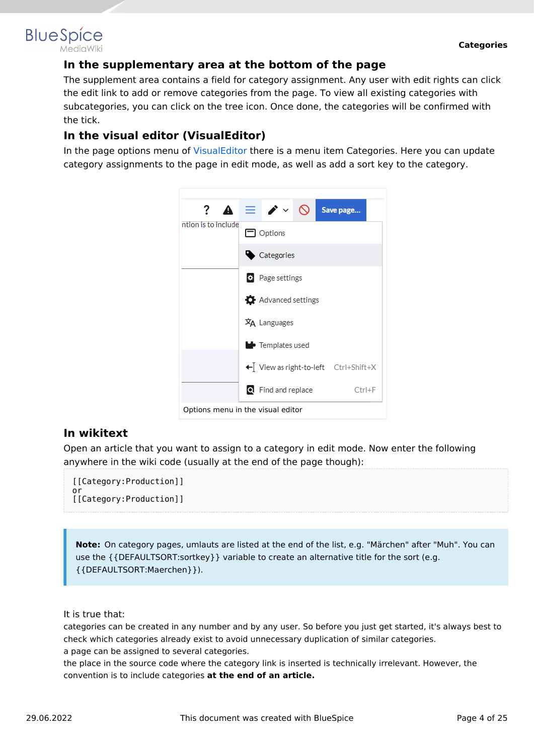### <span id="page-3-0"></span>**In the supplementary area at the bottom of the page**

The supplement area contains a field for category assignment. Any user with edit rights can click the edit link to add or remove categories from the page. To view all existing categories with subcategories, you can click on the tree icon. Once done, the categories will be confirmed with the tick.

## <span id="page-3-1"></span>**In the visual editor (VisualEditor)**

In the page options menu of [VisualEditor](#page-14-0) there is a menu item Categories. Here you can update category assignments to the page in edit mode, as well as add a sort key to the category.



### <span id="page-3-2"></span>**In wikitext**

Open an article that you want to assign to a category in edit mode. Now enter the following anywhere in the wiki code (usually at the end of the page though):

```
[[Category:Production]]
or
[[Category:Production]]
```
**Note:** On category pages, umlauts are listed at the end of the list, e.g. "Märchen" after "Muh". You can use the {{DEFAULTSORT:sortkey}} variable to create an alternative title for the sort (e.g. {{DEFAULTSORT:Maerchen}}).

It is true that:

categories can be created in any number and by any user. So before you just get started, it's always best to check which categories already exist to avoid unnecessary duplication of similar categories. a page can be assigned to several categories.

the place in the source code where the category link is inserted is technically irrelevant. However, the convention is to include categories **at the end of an article.**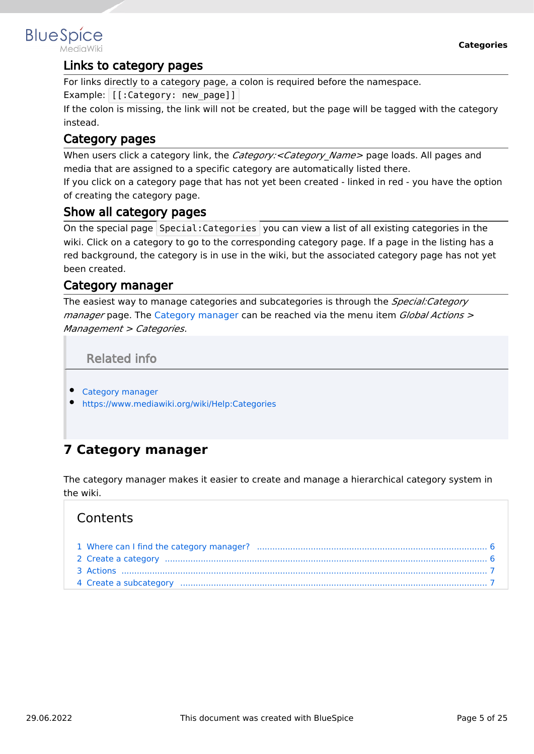## <span id="page-4-1"></span>Links to category pages

For links directly to a category page, a colon is required before the namespace.

Example: [[:Category: new page]]

If the colon is missing, the link will not be created, but the page will be tagged with the category instead.

## <span id="page-4-2"></span>Category pages

When users click a category link, the *Category:<Category Name>* page loads. All pages and media that are assigned to a specific category are automatically listed there.

If you click on a category page that has not yet been created - linked in red - you have the option of creating the category page.

## <span id="page-4-3"></span>Show all category pages

On the special page Special:Categories you can view a list of all existing categories in the wiki. Click on a category to go to the corresponding category page. If a page in the listing has a red background, the category is in use in the wiki, but the associated category page has not yet been created.

## <span id="page-4-4"></span>Category manager

The easiest way to manage categories and subcategories is through the *Special:Category manager* page. The [Category manager](#page-4-0) can be reached via the menu item *Global Actions > Management > Categories*.

Related info

- <span id="page-4-5"></span>[Category manager](#page-4-0)
- <https://www.mediawiki.org/wiki/Help:Categories>

# <span id="page-4-0"></span>**7 Category manager**

The category manager makes it easier to create and manage a hierarchical category system in the wiki.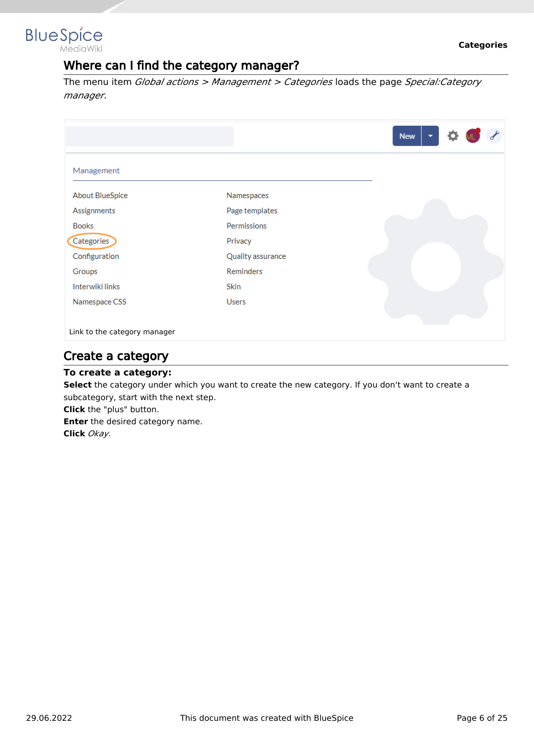<span id="page-5-0"></span>

## Where can I find the category manager?

The menu item *Global actions > Management > Categories* loads the page *Special:Category manager*.

|                              |                   | <b>New</b><br>$\overline{\phantom{a}}$ |
|------------------------------|-------------------|----------------------------------------|
| Management                   |                   |                                        |
| <b>About BlueSpice</b>       | Namespaces        |                                        |
| Assignments                  | Page templates    |                                        |
| <b>Books</b>                 | Permissions       |                                        |
| Categories                   | Privacy           |                                        |
| Configuration                | Quality assurance |                                        |
| Groups                       | <b>Reminders</b>  |                                        |
| Interwiki links              | <b>Skin</b>       |                                        |
| Namespace CSS                | <b>Users</b>      |                                        |
| Link to the category manager |                   |                                        |

## <span id="page-5-1"></span>Create a category

#### **To create a category:**

**Select** the category under which you want to create the new category. If you don't want to create a subcategory, start with the next step.

**Click** the "plus" button.

**Enter** the desired category name. **Click** *Okay.*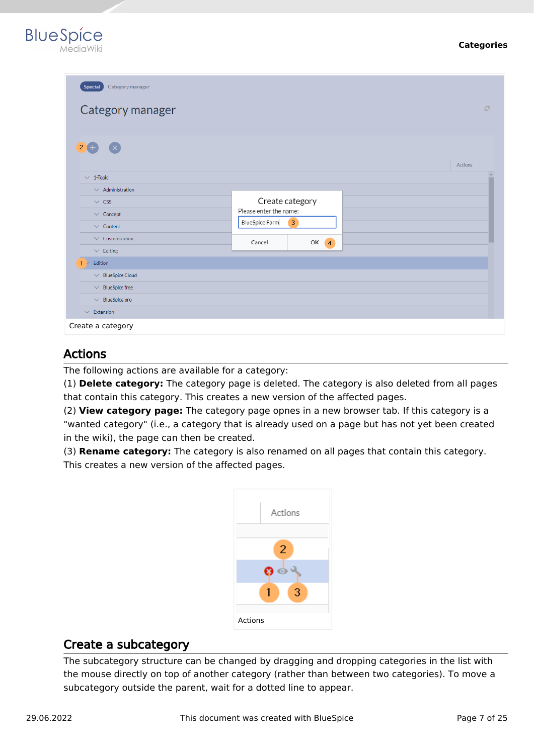



| <b>Special</b><br>Category manager     |                                           |          |
|----------------------------------------|-------------------------------------------|----------|
| Category manager                       |                                           | 口        |
| $2+$<br>$\mathbf{x}$                   |                                           | Actions  |
| $\vee$ 1-Topic                         |                                           | $\Delta$ |
| $\vee$ Administration<br>$\vee$ CSS    | Create category<br>Please enter the name: |          |
| $\vee$ Concept<br>$\vee$ Content       | <b>BlueSpice Farm</b><br>$\overline{3}$   |          |
| $\vee$ Customization<br>$\vee$ Editing | OK <sub>4</sub><br>Cancel                 |          |
| Edition                                |                                           |          |
| $\vee$ BlueSpice Cloud                 |                                           |          |
| $\vee$ BlueSpice free                  |                                           |          |
| $\vee$ BlueSpice pro                   |                                           |          |
| $\vee$ Extension                       |                                           |          |
| Create a category                      |                                           |          |

## <span id="page-6-0"></span>Actions

The following actions are available for a category:

(1) **Delete category:** The category page is deleted. The category is also deleted from all pages that contain this category. This creates a new version of the affected pages.

(2) **View category page:** The category page opnes in a new browser tab. If this category is a "wanted category" (i.e., a category that is already used on a page but has not yet been created in the wiki), the page can then be created.

(3) **Rename category:** The category is also renamed on all pages that contain this category. This creates a new version of the affected pages.



## <span id="page-6-1"></span>Create a subcategory

The subcategory structure can be changed by dragging and dropping categories in the list with the mouse directly on top of another category (rather than between two categories). To move a subcategory outside the parent, wait for a dotted line to appear.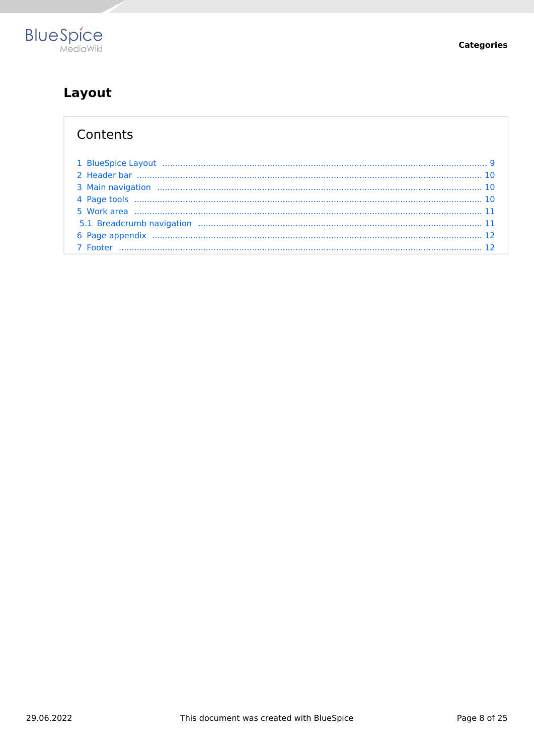

# <span id="page-7-0"></span>Layout

| 1 BlueSpice Layout (1111) 1999 - 1999 - 1999 - 1999 - 1999 - 1999 - 1999 - 1999 - 1999 - 1999 - 1999 - 1999 - 1 |  |
|-----------------------------------------------------------------------------------------------------------------|--|
|                                                                                                                 |  |
|                                                                                                                 |  |
|                                                                                                                 |  |
|                                                                                                                 |  |
|                                                                                                                 |  |
|                                                                                                                 |  |
|                                                                                                                 |  |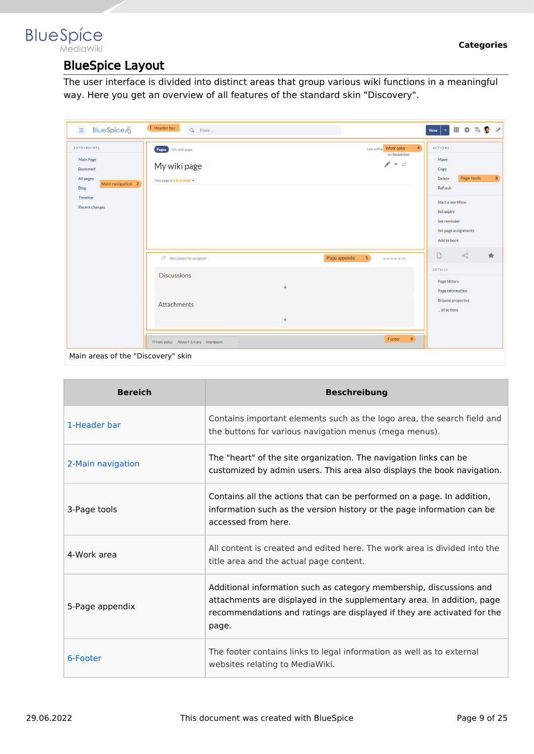## <span id="page-8-0"></span>**BlueSpice** MediaWiki

# BlueSpice Layout

The user interface is divided into distinct areas that group various wiki functions in a meaningful way. Here you get an overview of all features of the standard skin "Discovery".

| <b>BlueSpice4</b><br>$\equiv$                                                                                                             | 1 Header bar<br>Q Finde                                            |                  |                                 |                                                                | $\left\vert \mathbf{v}\right\vert$<br>New                                                                                   | Ⅲ Φ 双 ● イ                          |                |
|-------------------------------------------------------------------------------------------------------------------------------------------|--------------------------------------------------------------------|------------------|---------------------------------|----------------------------------------------------------------|-----------------------------------------------------------------------------------------------------------------------------|------------------------------------|----------------|
| <b>ENTRYPOINTS</b><br>Main Page<br><b>Bookshelf</b><br>All pages<br>Main navigation 2<br><b>Blog</b><br>Timeline<br><b>Recent changes</b> | Pages My wiki page<br>My wiki page<br>This page is a first draft = |                  |                                 | $\overline{4}$<br>Last edited Work area<br>by Redaktion<br>メーロ | <b>ACTIONS</b><br>Move<br>Copy<br><b>Delete</b><br>Refresh<br>Start a workflow<br>Set expiry<br>Set reminder<br>Add to book | Page tools<br>Set page assignments | 3 <sup>1</sup> |
|                                                                                                                                           | $\oslash$ No categories assigned                                   |                  | 5 <sub>o</sub><br>Page appendix | shishirikin de (O)                                             | $\Box$                                                                                                                      | $\leqslant$                        | $\star$        |
|                                                                                                                                           | <b>Discussions</b><br><b>Attachments</b>                           | $\ddot{}$<br>$+$ |                                 |                                                                | DETAILS<br>Page history<br>Page information<br><b>Browse properties</b><br>all actions                                      |                                    |                |
| Main areas of the "Discovery" skin                                                                                                        | Privacy policy About 4-1-x-pro Impressum<br>$\sim$                 |                  |                                 | 6 <sup>1</sup><br>Footer                                       |                                                                                                                             |                                    |                |

| <b>Bereich</b>    | <b>Beschreibung</b>                                                                                                                                                                                                               |
|-------------------|-----------------------------------------------------------------------------------------------------------------------------------------------------------------------------------------------------------------------------------|
| 1-Header bar      | Contains important elements such as the logo area, the search field and<br>the buttons for various navigation menus (mega menus).                                                                                                 |
| 2-Main navigation | The "heart" of the site organization. The navigation links can be<br>customized by admin users. This area also displays the book navigation.                                                                                      |
| 3-Page tools      | Contains all the actions that can be performed on a page. In addition,<br>information such as the version history or the page information can be<br>accessed from here.                                                           |
| 4-Work area       | All content is created and edited here. The work area is divided into the<br>title area and the actual page content.                                                                                                              |
| 5-Page appendix   | Additional information such as category membership, discussions and<br>attachments are displayed in the supplementary area. In addition, page<br>recommendations and ratings are displayed if they are activated for the<br>page. |
| 6-Footer          | The footer contains links to legal information as well as to external<br>websites relating to MediaWiki.                                                                                                                          |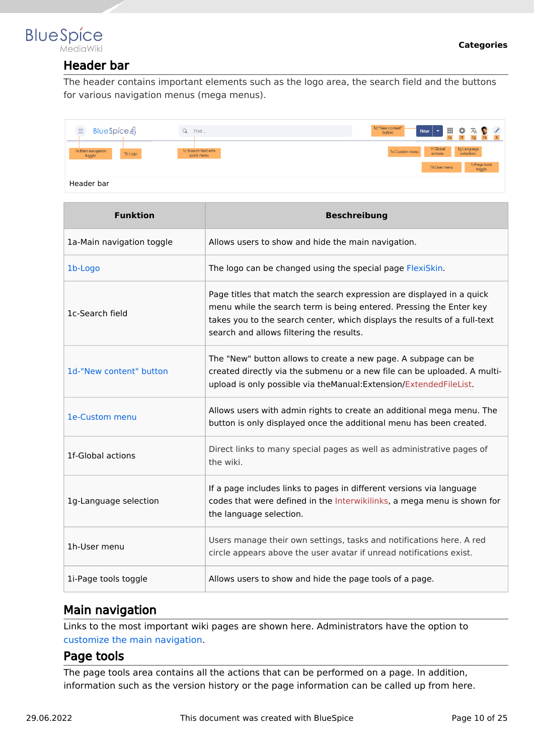## <span id="page-9-0"></span>**BlueSpice** MediaWiki

## Header bar

The header contains important elements such as the logo area, the search field and the buttons for various navigation menus (mega menus).

| BlueSpice4<br>$\equiv$                  | Find<br>Q                          | 1d "New content"<br>Ⅲ☆ス●よ<br>$\overline{\phantom{a}}$<br><b>New</b><br>button<br><sub>1e</sub> |
|-----------------------------------------|------------------------------------|------------------------------------------------------------------------------------------------|
| 1a Main navigation<br>1b Logo<br>toggle | 1c Search field with<br>quick menu | 1f Global<br>1g Language<br>selection<br>1e Custom menu<br>actions                             |
|                                         |                                    | 1i Page tools<br>toggle<br>1h User menu                                                        |
| Header bar                              |                                    |                                                                                                |

| <b>Funktion</b>           | <b>Beschreibung</b>                                                                                                                                                                                                                                                   |
|---------------------------|-----------------------------------------------------------------------------------------------------------------------------------------------------------------------------------------------------------------------------------------------------------------------|
| 1a-Main navigation toggle | Allows users to show and hide the main navigation.                                                                                                                                                                                                                    |
| 1b-Logo                   | The logo can be changed using the special page FlexiSkin.                                                                                                                                                                                                             |
| 1c-Search field           | Page titles that match the search expression are displayed in a quick<br>menu while the search term is being entered. Pressing the Enter key<br>takes you to the search center, which displays the results of a full-text<br>search and allows filtering the results. |
| 1d-"New content" button   | The "New" button allows to create a new page. A subpage can be<br>created directly via the submenu or a new file can be uploaded. A multi-<br>upload is only possible via theManual: Extension/ExtendedFileList.                                                      |
| 1e-Custom menu            | Allows users with admin rights to create an additional mega menu. The<br>button is only displayed once the additional menu has been created.                                                                                                                          |
| 1f-Global actions         | Direct links to many special pages as well as administrative pages of<br>the wiki.                                                                                                                                                                                    |
| 1g-Language selection     | If a page includes links to pages in different versions via language<br>codes that were defined in the Interwikilinks, a mega menu is shown for<br>the language selection.                                                                                            |
| 1h-User menu              | Users manage their own settings, tasks and notifications here. A red<br>circle appears above the user avatar if unread notifications exist.                                                                                                                           |
| 1i-Page tools toggle      | Allows users to show and hide the page tools of a page.                                                                                                                                                                                                               |

## <span id="page-9-1"></span>Main navigation

Links to the most important wiki pages are shown here. Administrators have the option to [customize the main navigation.](https://en.wiki.bluespice.com/wiki/Manual:Extension/BlueSpiceDiscovery/Main_navigation)

## <span id="page-9-2"></span>Page tools

The page tools area contains all the actions that can be performed on a page. In addition, information such as the version history or the page information can be called up from here.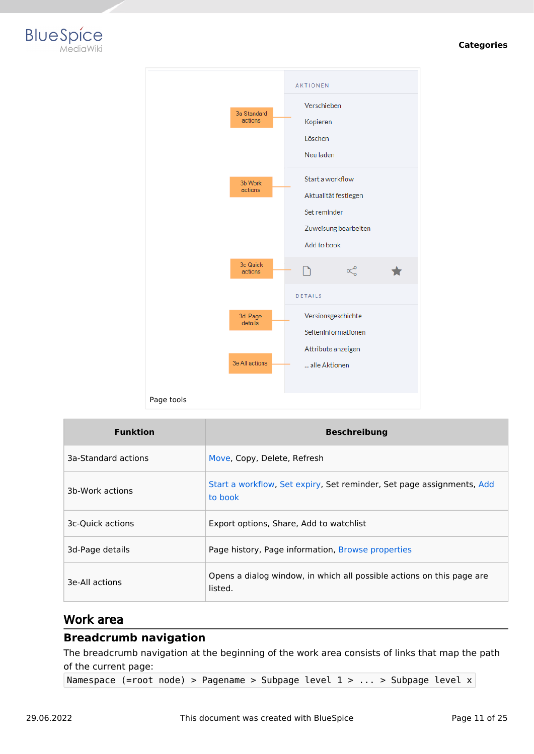#### **Categories**





| <b>Funktion</b>     | <b>Beschreibung</b>                                                              |
|---------------------|----------------------------------------------------------------------------------|
| 3a-Standard actions | Move, Copy, Delete, Refresh                                                      |
| 3b-Work actions     | Start a workflow, Set expiry, Set reminder, Set page assignments, Add<br>to book |
| 3c-Quick actions    | Export options, Share, Add to watchlist                                          |
| 3d-Page details     | Page history, Page information, Browse properties                                |
| 3e-All actions      | Opens a dialog window, in which all possible actions on this page are<br>listed. |

#### <span id="page-10-0"></span>Work area

#### <span id="page-10-1"></span>**Breadcrumb navigation**

The breadcrumb navigation at the beginning of the work area consists of links that map the path of the current page:

Namespace (=root node) > Pagename > Subpage level 1 > ... > Subpage level x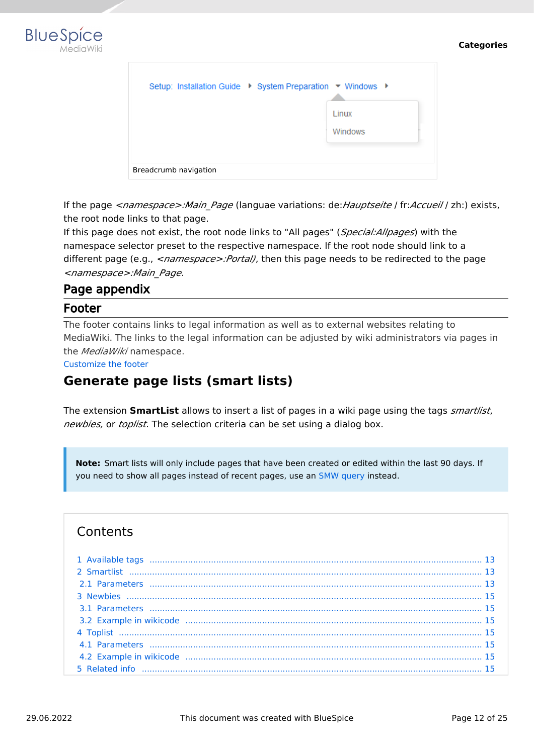

|                       |  | Setup: Installation Guide ▶ System Preparation ▼ Windows ▶ |
|-----------------------|--|------------------------------------------------------------|
|                       |  | Linux<br><b>Windows</b>                                    |
| Breadcrumb navigation |  |                                                            |

If the page *<namespace>:Main\_Page* (languae variations: de:*Hauptseite* / fr:*Accueil* / zh:) exists, the root node links to that page.

If this page does not exist, the root node links to "All pages" (*Special:Allpages*) with the namespace selector preset to the respective namespace. If the root node should link to a different page (e.g., <*namespace>:Portal)*, then this page needs to be redirected to the page *<namespace>:Main\_Page*.

## <span id="page-11-1"></span>Page appendix

#### <span id="page-11-2"></span>Footer

The footer contains links to legal information as well as to external websites relating to MediaWiki. The links to the legal information can be adjusted by wiki administrators via pages in the *MediaWiki* namespace.

[Customize the footer](https://en.wiki.bluespice.com/wiki/Manual:Extension/BlueSpiceDiscovery/Footer)

# <span id="page-11-0"></span>**Generate page lists (smart lists)**

The extension **SmartList** allows to insert a list of pages in a wiki page using the tags *smartlist*, *newbies,* or *toplist*. The selection criteria can be set using a dialog box.

**Note:** Smart lists will only include pages that have been created or edited within the last 90 days. If you need to show all pages instead of recent pages, use an [SMW query](https://en.wiki.bluespice.com/wiki/SMW_queries) instead.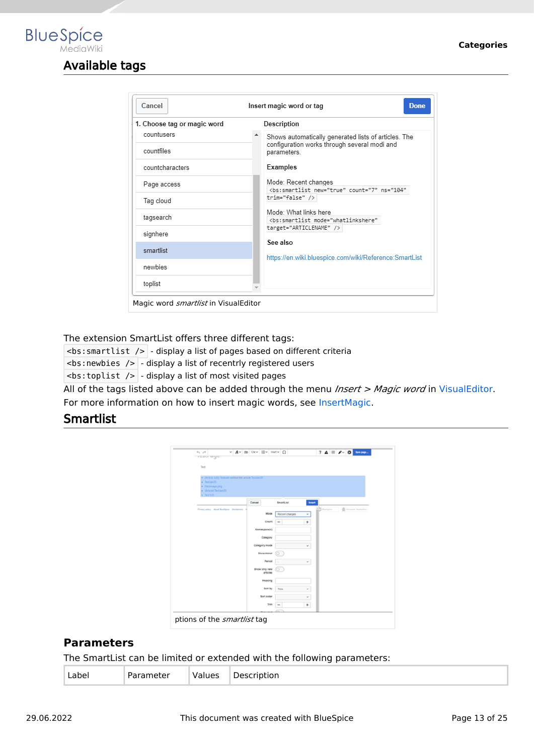# Available tags

<span id="page-12-0"></span>**BlueSpice** 

| Cancel                      | <b>Done</b><br>Insert magic word or tag                                                        |
|-----------------------------|------------------------------------------------------------------------------------------------|
| 1. Choose tag or magic word | Description                                                                                    |
| countusers                  | Shows automatically generated lists of articles. The                                           |
| countfiles                  | configuration works through several modi and<br>parameters.                                    |
| countcharacters             | Examples                                                                                       |
| Page access                 | Mode: Recent changes<br><bs:smartlist <="" count="7" new="true" ns="104" td=""></bs:smartlist> |
| Tag cloud                   | trim="false" />                                                                                |
| tagsearch                   | Mode: What links here<br><bs:smartlist <="" mode="whatlinkshere" td=""></bs:smartlist>         |
| signhere                    | target="ARTICLENAME" /><br>See also                                                            |
| smartlist                   | https://en.wiki.bluespice.com/wiki/Reference:SmartList                                         |
| newbies                     |                                                                                                |
| toplist                     |                                                                                                |

The extension SmartList offers three different tags:

 $\leq$ bs: smartlist />  $\sim$  display a list of pages based on different criteria

**:newbies />**  $-$  **display a list of recentrly registered users** 

 $\langle$ bs:toplist />  $\vert$  - display a list of most visited pages

All of the tags listed above can be added through the menu *Insert > Magic word* in [VisualEditor](#page-14-0). For more information on how to insert magic words, see [InsertMagic.](https://en.wiki.bluespice.com/wiki/Manual:Extension/BlueSpiceInsertMagic)

### <span id="page-12-1"></span>**Smartlist**

| $+$ $+$<br><b>TESTI UYE</b>              |                                                        |        |                   | v Av co cav Ev metv Ω |           | $? A \equiv A \cdot 0$             |
|------------------------------------------|--------------------------------------------------------|--------|-------------------|-----------------------|-----------|------------------------------------|
|                                          |                                                        |        |                   |                       |           |                                    |
| Test                                     |                                                        |        |                   |                       |           |                                    |
|                                          |                                                        |        |                   |                       |           |                                    |
|                                          | . (Article edit) Testuser edited the article TestJan30 |        |                   |                       |           |                                    |
| · Testian30                              |                                                        |        |                   |                       |           |                                    |
| · Fileimage.png<br>· (Article) Testlan30 |                                                        |        |                   |                       |           |                                    |
| $-$ Test123                              |                                                        |        |                   |                       |           |                                    |
|                                          |                                                        | Cancel |                   | SmartList             | Insert    |                                    |
|                                          | Privacy policy About BlueSpice Disclaimers             |        |                   |                       |           | $-2$ Buelpice<br>Semantic Mediumni |
|                                          |                                                        |        | Mode              | Recent changes        | $\omega$  |                                    |
|                                          |                                                        |        | Count             |                       |           |                                    |
|                                          |                                                        |        |                   | $\frac{1}{2}$         | $\ddot{}$ |                                    |
|                                          |                                                        |        | Namespace(s)      |                       |           |                                    |
|                                          |                                                        |        | Category          |                       |           |                                    |
|                                          |                                                        |        |                   |                       |           |                                    |
|                                          |                                                        |        | Category mode     |                       | $\omega$  |                                    |
|                                          |                                                        |        | <b>Show minor</b> |                       |           |                                    |
|                                          |                                                        |        | Period            | $\sim$                | $\omega$  |                                    |
|                                          |                                                        |        | Show only new     |                       |           |                                    |
|                                          |                                                        |        | articles          |                       |           |                                    |
|                                          |                                                        |        | Heading           |                       |           |                                    |
|                                          |                                                        |        | Sort by           | Time                  | v         |                                    |
|                                          |                                                        |        | Sort order        |                       | $\omega$  |                                    |
|                                          |                                                        |        |                   |                       |           |                                    |
|                                          |                                                        |        | Trim              | $\qquad \qquad$       | $+$       |                                    |
|                                          |                                                        |        |                   |                       |           |                                    |

#### <span id="page-12-2"></span>**Parameters**

The SmartList can be limited or extended with the following parameters:

| --<br>. | - | . 1.0.00 | . |
|---------|---|----------|---|
|---------|---|----------|---|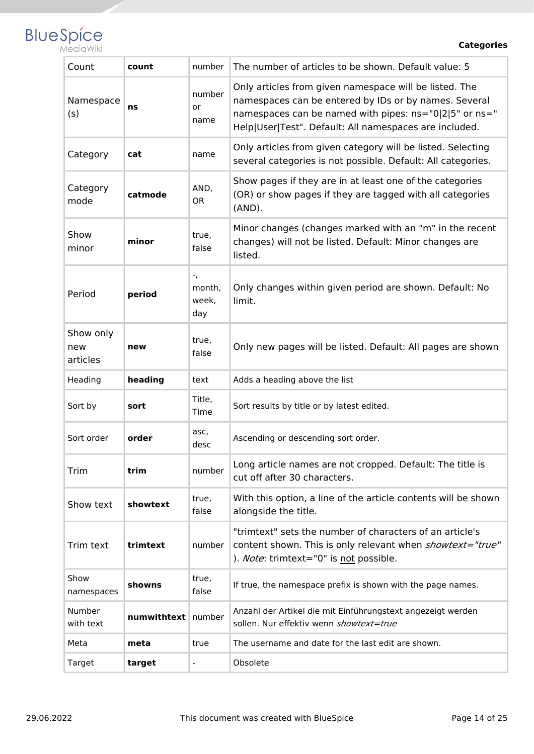

**Categories**

| Count                        | count       | number                       | The number of articles to be shown. Default value: 5                                                                                                                                                                                |
|------------------------------|-------------|------------------------------|-------------------------------------------------------------------------------------------------------------------------------------------------------------------------------------------------------------------------------------|
| Namespace<br>(s)             | ns          | number<br>or<br>name         | Only articles from given namespace will be listed. The<br>namespaces can be entered by IDs or by names. Several<br>namespaces can be named with pipes: ns="0 2 5" or ns="<br>Help User Test". Default: All namespaces are included. |
| Category                     | cat         | name                         | Only articles from given category will be listed. Selecting<br>several categories is not possible. Default: All categories.                                                                                                         |
| Category<br>mode             | catmode     | AND,<br>0R                   | Show pages if they are in at least one of the categories<br>(OR) or show pages if they are tagged with all categories<br>$(AND)$ .                                                                                                  |
| Show<br>minor                | minor       | true,<br>false               | Minor changes (changes marked with an "m" in the recent<br>changes) will not be listed. Default: Minor changes are<br>listed.                                                                                                       |
| Period                       | period      | ۰,<br>month,<br>week,<br>day | Only changes within given period are shown. Default: No<br>limit.                                                                                                                                                                   |
| Show only<br>new<br>articles | new         | true,<br>false               | Only new pages will be listed. Default: All pages are shown                                                                                                                                                                         |
| Heading                      | heading     | text                         | Adds a heading above the list                                                                                                                                                                                                       |
| Sort by                      | sort        | Title,<br>Time               | Sort results by title or by latest edited.                                                                                                                                                                                          |
| Sort order                   | order       | asc,<br>desc                 | Ascending or descending sort order.                                                                                                                                                                                                 |
| Trim                         | trim        | number                       | Long article names are not cropped. Default: The title is<br>cut off after 30 characters.                                                                                                                                           |
| Show text                    | showtext    | true,<br>false               | With this option, a line of the article contents will be shown<br>alongside the title.                                                                                                                                              |
| Trim text                    | trimtext    | number                       | "trimtext" sets the number of characters of an article's<br>content shown. This is only relevant when showtext="true"<br>). Note: trimtext="0" is not possible.                                                                     |
| Show<br>namespaces           | showns      | true,<br>false               | If true, the namespace prefix is shown with the page names.                                                                                                                                                                         |
| Number<br>with text          | numwithtext | number                       | Anzahl der Artikel die mit Einführungstext angezeigt werden<br>sollen. Nur effektiv wenn showtext=true                                                                                                                              |
| Meta                         | meta        | true                         | The username and date for the last edit are shown.                                                                                                                                                                                  |
| Target                       | target      |                              | Obsolete                                                                                                                                                                                                                            |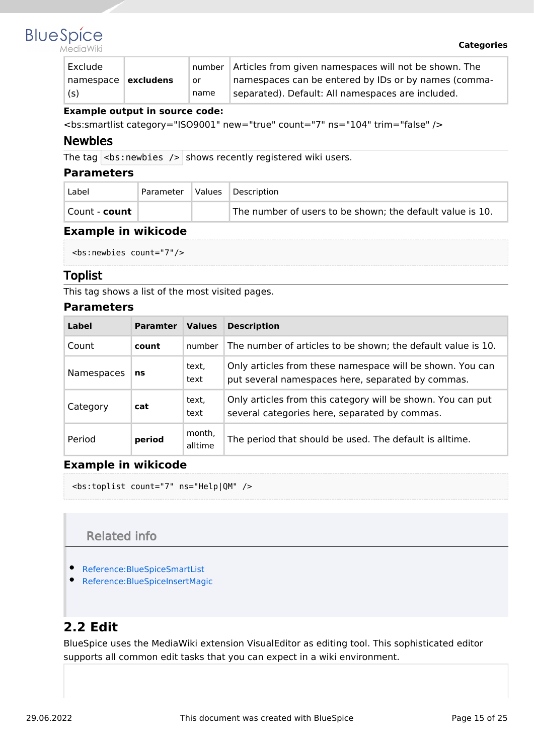

MediaWiki

| Exclude             |      | number Articles from given namespaces will not be shown. The |
|---------------------|------|--------------------------------------------------------------|
| namespace excludens | or   | namespaces can be entered by IDs or by names (comma-         |
| (s)                 | name | separated). Default: All namespaces are included.            |

#### **Example output in source code:**

<bs:smartlist category="ISO9001" new="true" count="7" ns="104" trim="false" />

#### <span id="page-14-1"></span>Newbies

The tag  $|$  <br : newbies /> shows recently registered wiki users.

#### <span id="page-14-2"></span>**Parameters**

| Label                | Parameter | Values | Description                                               |
|----------------------|-----------|--------|-----------------------------------------------------------|
| Count - <b>count</b> |           |        | The number of users to be shown; the default value is 10. |

#### <span id="page-14-3"></span>**Example in wikicode**

```
<bs:newbies count="7"/>
```
#### <span id="page-14-4"></span>Toplist

This tag shows a list of the most visited pages.

#### <span id="page-14-5"></span>**Parameters**

| Label      | <b>Paramter</b> | <b>Values</b>     | <b>Description</b>                                                                                             |
|------------|-----------------|-------------------|----------------------------------------------------------------------------------------------------------------|
| Count      | count           | number            | The number of articles to be shown; the default value is 10.                                                   |
| Namespaces | ns              | text,<br>text     | Only articles from these namespace will be shown. You can<br>put several namespaces here, separated by commas. |
| Category   | cat             | text,<br>text     | Only articles from this category will be shown. You can put<br>several categories here, separated by commas.   |
| Period     | period          | month,<br>alltime | The period that should be used. The default is alltime.                                                        |

#### <span id="page-14-6"></span>**Example in wikicode**

<bs:toplist count="7" ns="Help|QM" />

## Related info

- <span id="page-14-7"></span>[Reference:BlueSpiceSmartList](https://en.wiki.bluespice.com/wiki/Reference:BlueSpiceSmartList)
- [Reference:BlueSpiceInsertMagic](https://en.wiki.bluespice.com/wiki/Reference:BlueSpiceInsertMagic)

## <span id="page-14-0"></span>**2.2 Edit**

BlueSpice uses the MediaWiki extension VisualEditor as editing tool. This sophisticated editor supports all common edit tasks that you can expect in a wiki environment.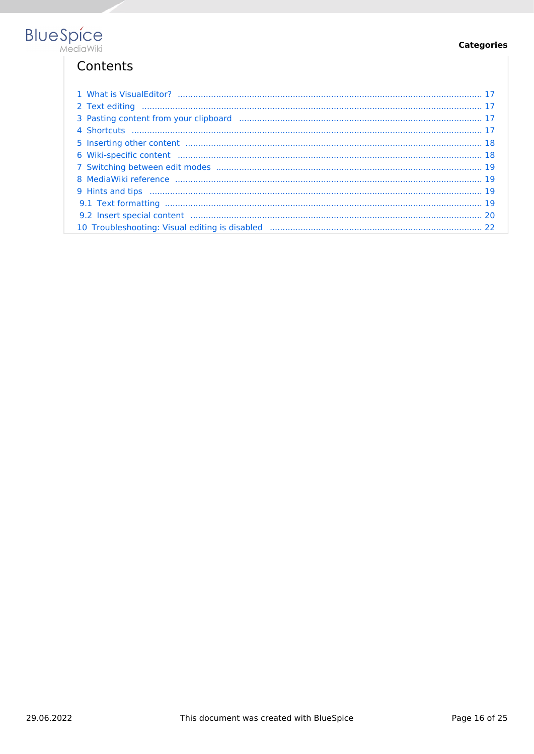#### **Categories**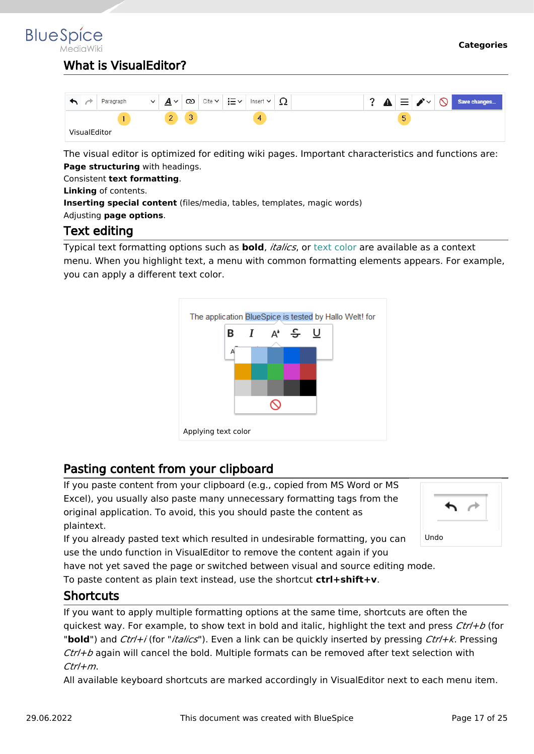# <span id="page-16-0"></span>What is VisualEditor?

|              | Paragraph<br>$\checkmark$ | $\checkmark$<br>A<br>∸   | ඟ | Cite $\sim$ $\,$ | ਾ≡∹ | Insert $\vee$ | ∸∸ |  |   |  | $ \equiv \blacktriangleright\mathord{\sim} \bigotimes $ Save changes $ $ |
|--------------|---------------------------|--------------------------|---|------------------|-----|---------------|----|--|---|--|--------------------------------------------------------------------------|
|              |                           | $\overline{\phantom{a}}$ | v |                  |     | 4             |    |  | 5 |  |                                                                          |
| VisualEditor |                           |                          |   |                  |     |               |    |  |   |  |                                                                          |

The visual editor is optimized for editing wiki pages. Important characteristics and functions are: **Page structuring** with headings.

Consistent **text formatting**.

**Linking** of contents.

**Inserting special content** (files/media, tables, templates, magic words)

<span id="page-16-1"></span>Adjusting **page options**.

## Text editing

Typical text formatting options such as **bold**, *italics*, or text color are available as a context menu. When you highlight text, a menu with common formatting elements appears. For example, you can apply a different text color.



## <span id="page-16-2"></span>Pasting content from your clipboard

If you paste content from your clipboard (e.g., copied from MS Word or MS Excel), you usually also paste many unnecessary formatting tags from the original application. To avoid, this you should paste the content as plaintext.

If you already pasted text which resulted in undesirable formatting, you can use the undo function in VisualEditor to remove the content again if you



have not yet saved the page or switched between visual and source editing mode.

To paste content as plain text instead, use the shortcut **ctrl+shift+v**.

## <span id="page-16-3"></span>**Shortcuts**

If you want to apply multiple formatting options at the same time, shortcuts are often the quickest way. For example, to show text in bold and italic, highlight the text and press *Ctrl+b* (for "**bold**") and *Ctrl+i* (for "*italics*"). Even a link can be quickly inserted by pressing *Ctrl+k*. Pressing *Ctrl+b* again will cancel the bold. Multiple formats can be removed after text selection with *Ctrl+m*.

All available keyboard shortcuts are marked accordingly in VisualEditor next to each menu item.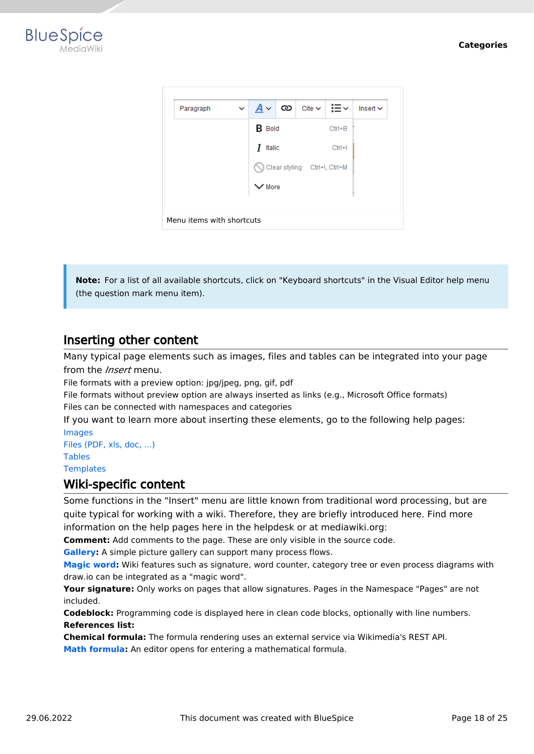



**Note:** For a list of all available shortcuts, click on "Keyboard shortcuts" in the Visual Editor help menu (the question mark menu item).

## <span id="page-17-0"></span>Inserting other content

Many typical page elements such as images, files and tables can be integrated into your page from the *Insert* menu.

File formats with a preview option: jpg/jpeg, png, gif, pdf

File formats without preview option are always inserted as links (e.g., Microsoft Office formats) Files can be connected with namespaces and categories

If you want to learn more about inserting these elements, go to the following help pages: [Images](https://en.wiki.bluespice.com/wiki/Manual:Extension/VisualEditor/Images)

[Files \(PDF, xls, doc, ...\)](https://en.wiki.bluespice.com/wiki/Manual:Extension/VisualEditor/Images) [Tables](https://en.wiki.bluespice.com/wiki/Manual:Extension/VisualEditor/Tables) **[Templates](https://en.wiki.bluespice.com/wiki/Manual:Templates)** 

#### <span id="page-17-1"></span>Wiki-specific content

Some functions in the "Insert" menu are little known from traditional word processing, but are quite typical for working with a wiki. Therefore, they are briefly introduced here. Find more information on the help pages here in the helpdesk or at mediawiki.org:

**Comment:** Add comments to the page. These are only visible in the source code.

**[Gallery:](https://www.mediawiki.org/wiki/Help:VisualEditor/User_guide#Editing_media_galleries)** A simple picture gallery can support many process flows.

**[Magic word](https://en.wiki.bluespice.com/wiki/Manual:MagicWords):** Wiki features such as signature, word counter, category tree or even process diagrams with draw.io can be integrated as a "magic word".

**Your signature:** Only works on pages that allow signatures. Pages in the Namespace "Pages" are not included.

**Codeblock:** Programming code is displayed here in clean code blocks, optionally with line numbers. **References list:**

**Chemical formula:** The formula rendering uses an external service via Wikimedia's REST API.

**[Math formula](https://www.mediawiki.org/wiki/Help:VisualEditor/User_guide/en#Editing_mathematical_formulae):** An editor opens for entering a mathematical formula.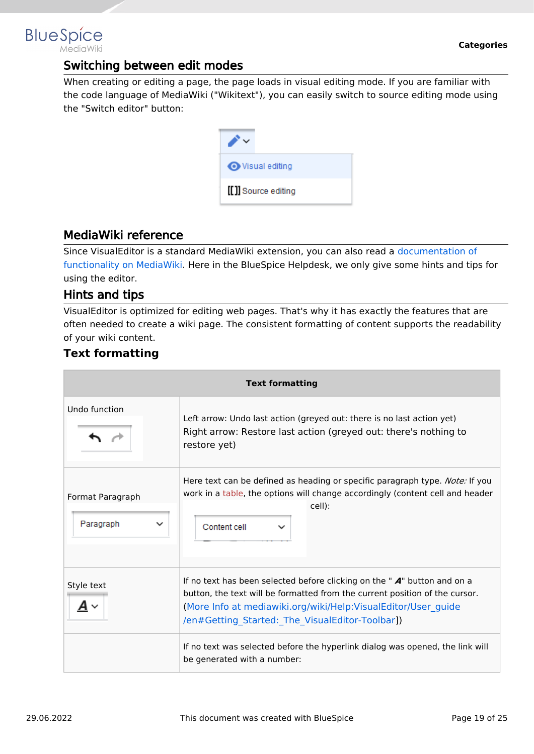## <span id="page-18-0"></span>Switching between edit modes

When creating or editing a page, the page loads in visual editing mode. If you are familiar with the code language of MediaWiki ("Wikitext"), you can easily switch to source editing mode using the "Switch editor" button:

| <b>◆</b> Visual editing |
|-------------------------|
| [[]] Source editing     |

## <span id="page-18-1"></span>MediaWiki reference

Since VisualEditor is a standard MediaWiki extension, you can also read a [documentation of](https://www.mediawiki.org/wiki/Help:VisualEditor/User_guide/en%7Ccomplete)  [functionality on MediaWiki](https://www.mediawiki.org/wiki/Help:VisualEditor/User_guide/en%7Ccomplete). Here in the BlueSpice Helpdesk, we only give some hints and tips for using the editor.

## <span id="page-18-2"></span>Hints and tips

VisualEditor is optimized for editing web pages. That's why it has exactly the features that are often needed to create a wiki page. The consistent formatting of content supports the readability of your wiki content.

## <span id="page-18-3"></span>**Text formatting**

| <b>Text formatting</b>                       |                                                                                                                                                                                                                                                                                |
|----------------------------------------------|--------------------------------------------------------------------------------------------------------------------------------------------------------------------------------------------------------------------------------------------------------------------------------|
| Undo function                                | Left arrow: Undo last action (greyed out: there is no last action yet)<br>Right arrow: Restore last action (greyed out: there's nothing to<br>restore yet)                                                                                                                     |
| Format Paragraph<br>Paragraph<br>$\check{ }$ | Here text can be defined as heading or specific paragraph type. <i>Note:</i> If you<br>work in a table, the options will change accordingly (content cell and header<br>cell):<br>Content cell                                                                                 |
| Style text                                   | If no text has been selected before clicking on the " $A$ " button and on a<br>button, the text will be formatted from the current position of the cursor.<br>(More Info at mediawiki.org/wiki/Help:VisualEditor/User guide<br>/en#Getting_Started:_The_VisualEditor-Toolbar]) |
|                                              | If no text was selected before the hyperlink dialog was opened, the link will<br>be generated with a number:                                                                                                                                                                   |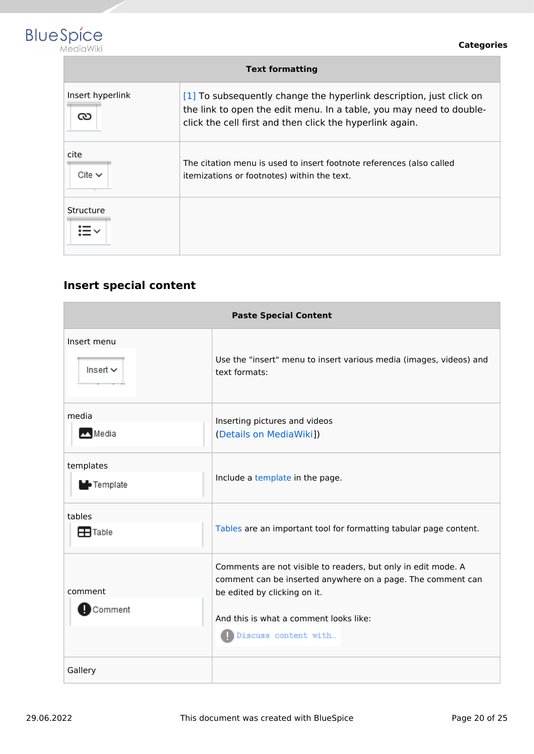

| <b>Text formatting</b> |                                                                                                                                                                                                        |  |
|------------------------|--------------------------------------------------------------------------------------------------------------------------------------------------------------------------------------------------------|--|
| Insert hyperlink<br>యి | [1] To subsequently change the hyperlink description, just click on<br>the link to open the edit menu. In a table, you may need to double-<br>click the cell first and then click the hyperlink again. |  |
| cite<br>Cite $\vee$    | The citation menu is used to insert footnote references (also called<br>itemizations or footnotes) within the text.                                                                                    |  |
| Structure              |                                                                                                                                                                                                        |  |

# <span id="page-19-0"></span>**Insert special content**

| <b>Paste Special Content</b>   |                                                                                                                                                                                                        |  |
|--------------------------------|--------------------------------------------------------------------------------------------------------------------------------------------------------------------------------------------------------|--|
| Insert menu<br>Insert $\vee$   | Use the "insert" menu to insert various media (images, videos) and<br>text formats:                                                                                                                    |  |
| media<br>Media                 | Inserting pictures and videos<br>(Details on MediaWiki])                                                                                                                                               |  |
| templates<br><b>D</b> Template | Include a template in the page.                                                                                                                                                                        |  |
| tables<br><b>H</b> Table       | Tables are an important tool for formatting tabular page content.                                                                                                                                      |  |
| comment<br>Comment             | Comments are not visible to readers, but only in edit mode. A<br>comment can be inserted anywhere on a page. The comment can<br>be edited by clicking on it.<br>And this is what a comment looks like: |  |
| Gallery                        | Discuss content with                                                                                                                                                                                   |  |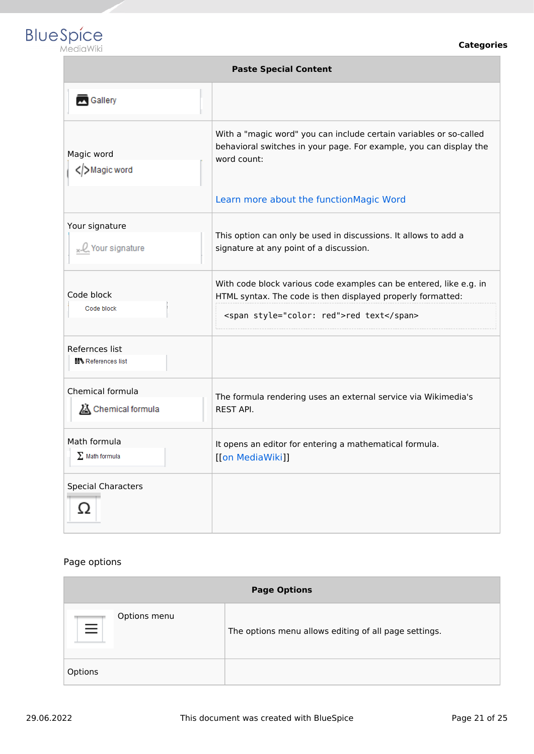

| <b>Paste Special Content</b>                     |                                                                                                                                                                               |  |
|--------------------------------------------------|-------------------------------------------------------------------------------------------------------------------------------------------------------------------------------|--|
| Gallery                                          |                                                                                                                                                                               |  |
| Magic word<br>Magic word                         | With a "magic word" you can include certain variables or so-called<br>behavioral switches in your page. For example, you can display the<br>word count:                       |  |
|                                                  | Learn more about the functionMagic Word                                                                                                                                       |  |
| Your signature<br><sub>x-</sub> Q Your signature | This option can only be used in discussions. It allows to add a<br>signature at any point of a discussion.                                                                    |  |
| Code block<br>Code block                         | With code block various code examples can be entered, like e.g. in<br>HTML syntax. The code is then displayed properly formatted:<br><span style="color: red">red text</span> |  |
| Refernces list<br><b>N</b> References list       |                                                                                                                                                                               |  |
| Chemical formula<br>Chemical formula             | The formula rendering uses an external service via Wikimedia's<br><b>REST API.</b>                                                                                            |  |
| Math formula<br>$\Sigma$ Math formula            | It opens an editor for entering a mathematical formula.<br>[[on MediaWiki]]                                                                                                   |  |
| <b>Special Characters</b><br>Ω                   |                                                                                                                                                                               |  |

#### Page options

| <b>Page Options</b>      |                                                       |
|--------------------------|-------------------------------------------------------|
| Options menu<br>$\equiv$ | The options menu allows editing of all page settings. |
| Options                  |                                                       |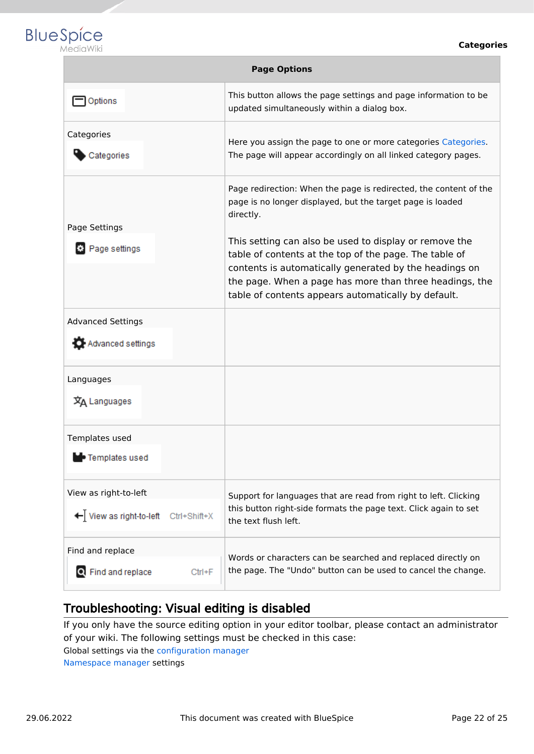

| <b>Page Options</b>                                              |                                                                                                                                                                                                                                                                                              |  |
|------------------------------------------------------------------|----------------------------------------------------------------------------------------------------------------------------------------------------------------------------------------------------------------------------------------------------------------------------------------------|--|
| Options                                                          | This button allows the page settings and page information to be<br>updated simultaneously within a dialog box.                                                                                                                                                                               |  |
| Categories<br>Categories                                         | Here you assign the page to one or more categories Categories.<br>The page will appear accordingly on all linked category pages.                                                                                                                                                             |  |
| Page Settings                                                    | Page redirection: When the page is redirected, the content of the<br>page is no longer displayed, but the target page is loaded<br>directly.                                                                                                                                                 |  |
| Page settings                                                    | This setting can also be used to display or remove the<br>table of contents at the top of the page. The table of<br>contents is automatically generated by the headings on<br>the page. When a page has more than three headings, the<br>table of contents appears automatically by default. |  |
| <b>Advanced Settings</b><br>Advanced settings                    |                                                                                                                                                                                                                                                                                              |  |
| Languages<br>文A Languages                                        |                                                                                                                                                                                                                                                                                              |  |
| Templates used<br>• Templates used                               |                                                                                                                                                                                                                                                                                              |  |
| View as right-to-left<br>← View as right-to-left<br>Ctrl+Shift+X | Support for languages that are read from right to left. Clicking<br>this button right-side formats the page text. Click again to set<br>the text flush left.                                                                                                                                 |  |
| Find and replace<br>Q Find and replace<br>Ctrl+F                 | Words or characters can be searched and replaced directly on<br>the page. The "Undo" button can be used to cancel the change.                                                                                                                                                                |  |
|                                                                  |                                                                                                                                                                                                                                                                                              |  |

# <span id="page-21-1"></span>Troubleshooting: Visual editing is disabled

If you only have the source editing option in your editor toolbar, please contact an administrator of your wiki. The following settings must be checked in this case:

Global settings via the [configuration manager](https://en.wiki.bluespice.com/wiki/Manual:Extension/BlueSpiceConfigManager)

<span id="page-21-0"></span>[Namespace manager](https://en.wiki.bluespice.com/wiki/Manual:Extension/BlueSpiceNamespaceManager) settings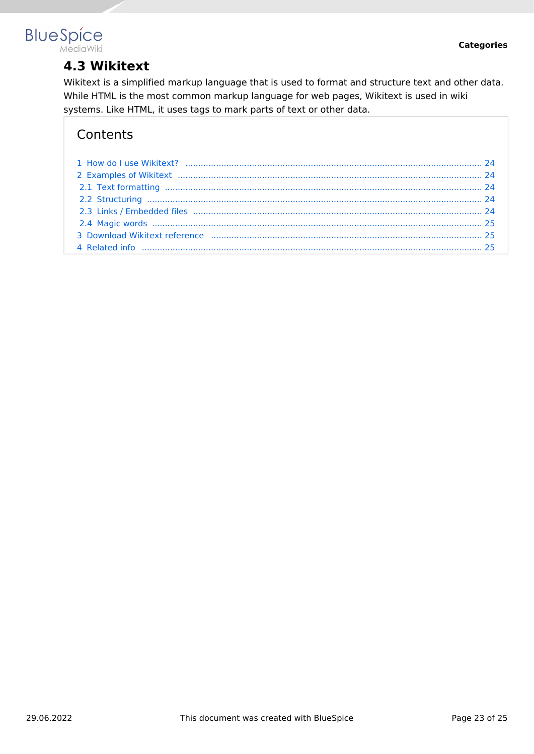

# **4.3 Wikitext**

Wikitext is a simplified markup language that is used to format and structure text and other data. While HTML is the most common markup language for web pages, Wikitext is used in wiki systems. Like HTML, it uses tags to mark parts of text or other data.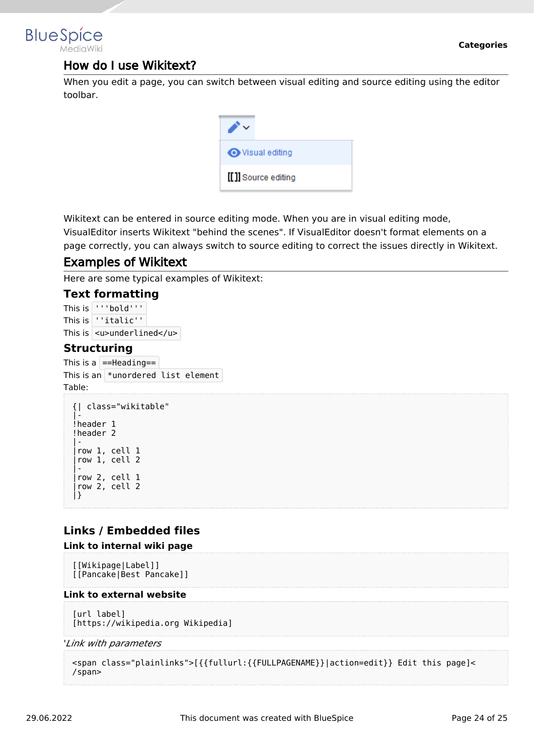

## <span id="page-23-0"></span>How do I use Wikitext?

When you edit a page, you can switch between visual editing and source editing using the editor toolbar.

| Visual editing      |
|---------------------|
| [[]] Source editing |

Wikitext can be entered in source editing mode. When you are in visual editing mode, VisualEditor inserts Wikitext "behind the scenes". If VisualEditor doesn't format elements on a page correctly, you can always switch to source editing to correct the issues directly in Wikitext.

## <span id="page-23-1"></span>Examples of Wikitext

Here are some typical examples of Wikitext:

#### <span id="page-23-2"></span>**Text formatting**

This is '''bold''' This is ''italic'' This is  $|$  <u>underlined</u>

#### <span id="page-23-3"></span>**Structuring**

This is a  $\vert$  ==Heading== This is an  $*$ unordered list element Table:

```
{| class="wikitable"
|-
!header 1
!header 2
|-
|row 1, cell 1
|row 1, cell 2
|-
|row 2, cell 1
|row 2, cell 2
|}
```
## <span id="page-23-4"></span>**Links / Embedded files**

#### **Link to internal wiki page**

[[Wikipage|Label]] [[Pancake|Best Pancake]]

#### **Link to external website**

```
[url label]
[https://wikipedia.org Wikipedia]
```
#### '*Link with parameters*

```
<span class="plainlinks">[{{fullurl:{{FULLPAGENAME}}|action=edit}} Edit this page]<
/span>
```